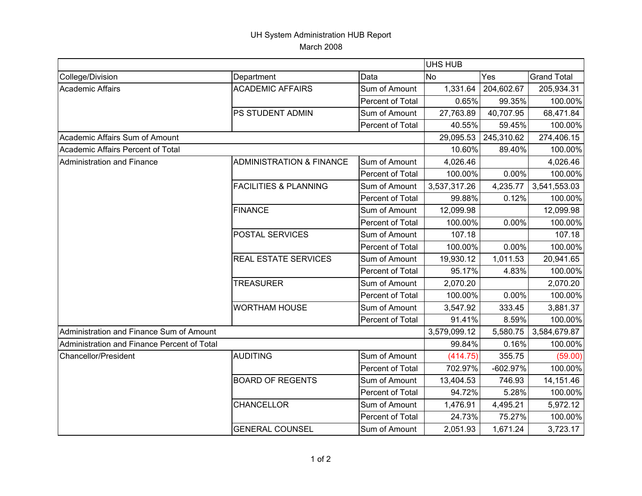## UH System Administration HUB Report March 2008

|                                             |                                     |                  | <b>UHS HUB</b> |            |                    |
|---------------------------------------------|-------------------------------------|------------------|----------------|------------|--------------------|
| College/Division                            | Department                          | Data             | <b>No</b>      | Yes        | <b>Grand Total</b> |
| <b>Academic Affairs</b>                     | <b>ACADEMIC AFFAIRS</b>             | Sum of Amount    | 1,331.64       | 204,602.67 | 205,934.31         |
|                                             |                                     | Percent of Total | 0.65%          | 99.35%     | 100.00%            |
|                                             | PS STUDENT ADMIN                    | Sum of Amount    | 27,763.89      | 40,707.95  | 68,471.84          |
|                                             |                                     | Percent of Total | 40.55%         | 59.45%     | 100.00%            |
| Academic Affairs Sum of Amount              |                                     |                  | 29,095.53      | 245,310.62 | 274,406.15         |
| Academic Affairs Percent of Total           |                                     |                  | 10.60%         | 89.40%     | 100.00%            |
| Administration and Finance                  | <b>ADMINISTRATION &amp; FINANCE</b> | Sum of Amount    | 4,026.46       |            | 4,026.46           |
|                                             |                                     | Percent of Total | 100.00%        | $0.00\%$   | 100.00%            |
|                                             | <b>FACILITIES &amp; PLANNING</b>    | Sum of Amount    | 3,537,317.26   | 4,235.77   | 3,541,553.03       |
|                                             |                                     | Percent of Total | 99.88%         | 0.12%      | 100.00%            |
|                                             | <b>FINANCE</b>                      | Sum of Amount    | 12,099.98      |            | 12,099.98          |
|                                             |                                     | Percent of Total | 100.00%        | $0.00\%$   | 100.00%            |
|                                             | POSTAL SERVICES                     | Sum of Amount    | 107.18         |            | 107.18             |
|                                             |                                     | Percent of Total | 100.00%        | $0.00\%$   | 100.00%            |
|                                             | <b>REAL ESTATE SERVICES</b>         | Sum of Amount    | 19,930.12      | 1,011.53   | 20,941.65          |
|                                             |                                     | Percent of Total | 95.17%         | 4.83%      | 100.00%            |
|                                             | <b>TREASURER</b>                    | Sum of Amount    | 2,070.20       |            | 2,070.20           |
|                                             |                                     | Percent of Total | 100.00%        | $0.00\%$   | 100.00%            |
|                                             | <b>WORTHAM HOUSE</b>                | Sum of Amount    | 3,547.92       | 333.45     | 3,881.37           |
|                                             |                                     | Percent of Total | 91.41%         | 8.59%      | 100.00%            |
| Administration and Finance Sum of Amount    |                                     |                  | 3,579,099.12   | 5,580.75   | 3,584,679.87       |
| Administration and Finance Percent of Total |                                     |                  | 99.84%         | 0.16%      | 100.00%            |
| <b>Chancellor/President</b>                 | <b>AUDITING</b>                     | Sum of Amount    | (414.75)       | 355.75     | (59.00)            |
|                                             |                                     | Percent of Total | 702.97%        | $-602.97%$ | 100.00%            |
|                                             | <b>BOARD OF REGENTS</b>             | Sum of Amount    | 13,404.53      | 746.93     | 14,151.46          |
|                                             |                                     | Percent of Total | 94.72%         | 5.28%      | 100.00%            |
|                                             | CHANCELLOR                          | Sum of Amount    | 1,476.91       | 4,495.21   | 5,972.12           |
|                                             |                                     | Percent of Total | 24.73%         | 75.27%     | 100.00%            |
|                                             | <b>GENERAL COUNSEL</b>              | Sum of Amount    | 2,051.93       | 1,671.24   | 3,723.17           |